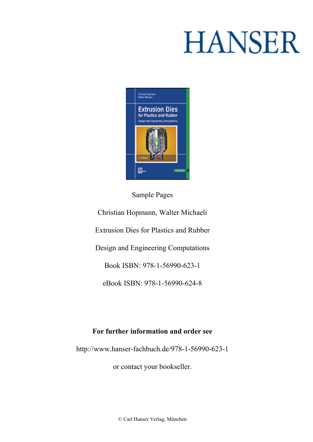# **HANSER**



**Sample Pages**

**Christian Hopmann, Walter Michaeli Extrusion Dies for Plastics and Rubber Design and Engineering Computations Book ISBN: 978-1-56990-623-1 eBook ISBN: 978-1-56990-624-8**

#### **For further information and order see**

**<http://www.hanser-fachbuch.de/978-1-56990-623-1>**

**or contact your bookseller.**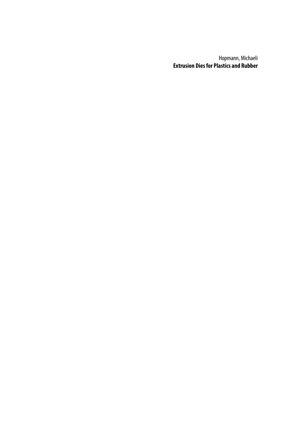Hopmann, Michaeli **Extrusion Dies for Plastics and Rubber**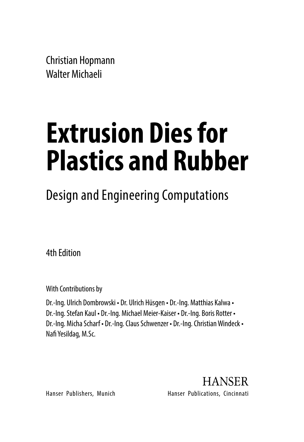Christian Hopmann Walter Michaeli

## **Extrusion Dies for Plastics and Rubber**

Design and Engineering Computations

4th Edition

With Contributions by

Dr.-Ing. Ulrich Dombrowski • Dr. Ulrich Hüsgen • Dr.-Ing. Matthias Kalwa • Dr.-Ing. Stefan Kaul • Dr.-Ing. Michael Meier-Kaiser • Dr.-Ing. Boris Rotter • Dr.-Ing. Micha Scharf • Dr.-Ing. Claus Schwenzer • Dr.-Ing. Christian Windeck • Nafi Yesildag, M.Sc.

**HANSER** Hanser Publishers, Munich **Hanser Publications, Cincinnati**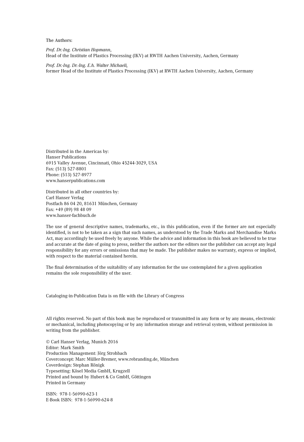The Authors:

*Prof. Dr.-Ing. Christian Hopmann*, Head of the Institute of Plastics Processing (IKV) at RWTH Aachen University, Aachen, Germany

*Prof. Dr.-Ing. Dr.-Ing. E.h. Walter Michaeli,*  former Head of the Institute of Plastics Processing (IKV) at RWTH Aachen University, Aachen, Germany

Distributed in the Americas by: Hanser Publications 6915 Valley Avenue, Cincinnati, Ohio 45244-3029, USA Fax: (513) 527-8801 Phone: (513) 527-8977 www.hanserpublications.com

Distributed in all other countries by: Carl Hanser Verlag Postfach 86 04 20, 81631 München, Germany Fax: +49 (89) 98 48 09 www.hanser-fachbuch.de

The use of general descriptive names, trademarks, etc., in this publication, even if the former are not especially identified, is not to be taken as a sign that such names, as understood by the Trade Marks and Merchandise Marks Act, may accordingly be used freely by anyone. While the advice and information in this book are believed to be true and accurate at the date of going to press, neither the authors nor the editors nor the publisher can accept any legal responsibility for any errors or omissions that may be made. The publisher makes no warranty, express or implied, with respect to the material contained herein.

The final determination of the suitability of any information for the use contemplated for a given application remains the sole responsibility of the user.

Cataloging-in-Publication Data is on file with the Library of Congress

All rights reserved. No part of this book may be reproduced or transmitted in any form or by any means, electronic or mechanical, including photocopying or by any information storage and retrieval system, without permission in writing from the publisher.

© Carl Hanser Verlag, Munich 2016 Editor: Mark Smith Production Management: Jörg Strohbach Coverconcept: Marc Müller-Bremer, www.rebranding.de, München Coverdesign: Stephan Rönigk Typesetting: Kösel Media GmbH, Krugzell Printed and bound by Hubert & Co GmbH, Göttingen Printed in Germany

ISBN: 978-1-56990-623-1 E-Book ISBN: 978-1-56990-624-8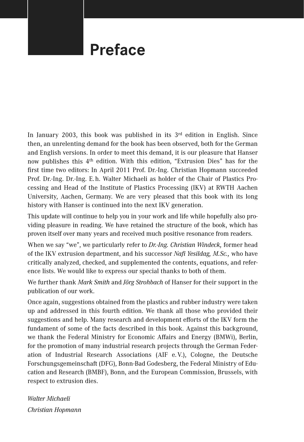## **Preface**

In January 2003, this book was published in its 3rd edition in English. Since then, an unrelenting demand for the book has been observed, both for the German and English versions. In order to meet this demand, it is our pleasure that Hanser now publishes this 4th edition. With this edition, "Extrusion Dies" has for the first time two editors: In April 2011 Prof. Dr.-Ing. Christian Hopmann succeeded Prof. Dr.-Ing. Dr.-Ing. E. h. Walter Michaeli as holder of the Chair of Plastics Processing and Head of the Institute of Plastics Processing (IKV) at RWTH Aachen University, Aachen, Germany. We are very pleased that this book with its long history with Hanser is continued into the next IKV generation.

This update will continue to help you in your work and life while hopefully also providing pleasure in reading. We have retained the structure of the book, which has proven itself over many years and received much positive resonance from readers.

When we say "we", we particularly refer to *Dr.-Ing. Christian Windeck,* former head of the IKV extrusion department, and his successor *Nafi Yesildag, M.Sc.,* who have critically analyzed, checked, and supplemented the contents, equations, and reference lists. We would like to express our special thanks to both of them.

We further thank *Mark Smith* and *Jörg Strohbach* of Hanser for their support in the publication of our work.

Once again, suggestions obtained from the plastics and rubber industry were taken up and addressed in this fourth edition. We thank all those who provided their suggestions and help. Many research and development efforts of the IKV form the fundament of some of the facts described in this book. Against this background, we thank the Federal Ministry for Economic Affairs and Energy (BMWi), Berlin, for the promotion of many industrial research projects through the German Federation of Industrial Research Associations (AIF e. V.), Cologne, the Deutsche Forschungsgemeinschaft (DFG), Bonn-Bad Godesberg, the Federal Ministry of Education and Research (BMBF), Bonn, and the European Commission, Brussels, with respect to extrusion dies.

*Walter Michaeli Christian Hopmann*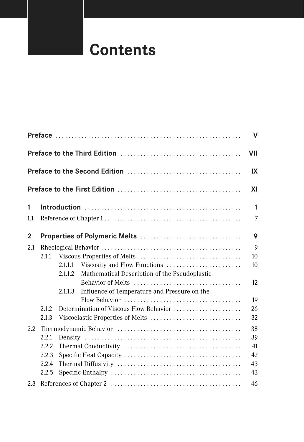## **Contents**

|                |       |                                                          | $\mathsf{V}$ |
|----------------|-------|----------------------------------------------------------|--------------|
|                |       |                                                          | VII          |
|                |       |                                                          | IX           |
|                |       |                                                          | XI           |
| 1              |       |                                                          | 1            |
| 1.1            |       |                                                          | 7            |
| $\overline{2}$ |       | Properties of Polymeric Melts                            | 9            |
| 2.1            |       |                                                          |              |
|                | 2.1.1 | Viscous Properties of Melts                              | 10           |
|                |       | Viscosity and Flow Functions<br>2.1.1.1                  | 10           |
|                |       | 2.1.1.2<br>Mathematical Description of the Pseudoplastic |              |
|                |       | Behavior of Melts                                        | 12           |
|                |       | Influence of Temperature and Pressure on the<br>2.1.1.3  |              |
|                |       |                                                          | 19           |
|                | 2.1.2 | Determination of Viscous Flow Behavior                   | 26           |
|                | 2.1.3 |                                                          | 32           |
| 2.2            |       |                                                          | 38           |
|                | 2.2.1 |                                                          | 39           |
|                | 2.2.2 |                                                          | 41           |
|                | 2.2.3 |                                                          | 42           |
|                | 2.2.4 |                                                          | 43           |
|                | 2.2.5 |                                                          | 43           |
| 2.3            |       |                                                          | 46           |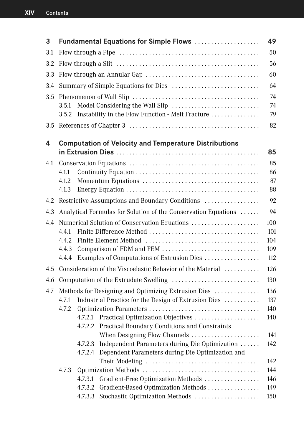| 3   |                                                                |         | Fundamental Equations for Simple Flows                       | 49       |
|-----|----------------------------------------------------------------|---------|--------------------------------------------------------------|----------|
| 3.1 |                                                                |         |                                                              | 50       |
| 3.2 |                                                                |         |                                                              | 56       |
| 3.3 |                                                                |         |                                                              | 60       |
| 3.4 |                                                                |         |                                                              | 64       |
| 3.5 |                                                                |         |                                                              |          |
|     | 3.5.1                                                          |         | Model Considering the Wall Slip                              | 74<br>74 |
|     | 3.5.2                                                          |         | Instability in the Flow Function - Melt Fracture             | 79       |
| 3.5 |                                                                |         |                                                              | 82       |
| 4   |                                                                |         | <b>Computation of Velocity and Temperature Distributions</b> |          |
|     |                                                                |         |                                                              | 85       |
| 4.1 |                                                                |         |                                                              | 85       |
|     | 4.1.1                                                          |         |                                                              | 86       |
|     | 4.1.2                                                          |         |                                                              | 87       |
|     | 4.1.3                                                          |         |                                                              | 88       |
| 4.2 | Restrictive Assumptions and Boundary Conditions                |         |                                                              | 92       |
| 4.3 | Analytical Formulas for Solution of the Conservation Equations |         |                                                              | 94       |
| 4.4 | Numerical Solution of Conservation Equations                   |         |                                                              |          |
|     | 4.4.1                                                          |         |                                                              | 101      |
|     | 4.4.2                                                          |         |                                                              | 104      |
|     | 4.4.3                                                          |         | Comparison of FDM and FEM                                    | 109      |
|     | 4.4.4                                                          |         | Examples of Computations of Extrusion Dies                   | 112      |
| 4.5 |                                                                |         | Consideration of the Viscoelastic Behavior of the Material   | 126      |
| 4.6 |                                                                |         | Computation of the Extrudate Swelling                        | 130      |
| 4.7 | Methods for Designing and Optimizing Extrusion Dies            |         |                                                              | 136      |
|     | 4.7.1                                                          |         | Industrial Practice for the Design of Extrusion Dies         | 137      |
|     | 4.7.2                                                          |         |                                                              | 140      |
|     |                                                                | 4.7.2.1 | Practical Optimization Objectives                            | 140      |
|     |                                                                |         | 4.7.2.2 Practical Boundary Conditions and Constraints        |          |
|     |                                                                |         | When Designing Flow Channels                                 | 141      |
|     |                                                                | 4.7.2.3 | Independent Parameters during Die Optimization               | 142      |
|     |                                                                | 4.7.2.4 | Dependent Parameters during Die Optimization and             | 142      |
|     | 4.7.3                                                          |         |                                                              | 144      |
|     |                                                                | 4.7.3.1 | Gradient-Free Optimization Methods                           | 146      |
|     |                                                                | 4.7.3.2 | Gradient-Based Optimization Methods                          | 149      |
|     |                                                                | 4.7.3.3 | Stochastic Optimization Methods                              | 150      |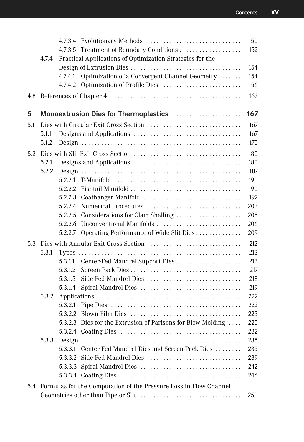|     |       |                                                                                                          | 150 |
|-----|-------|----------------------------------------------------------------------------------------------------------|-----|
|     |       | Treatment of Boundary Conditions<br>4.7.3.5                                                              | 152 |
|     | 4.7.4 | Practical Applications of Optimization Strategies for the                                                |     |
|     |       |                                                                                                          | 154 |
|     |       | Optimization of a Convergent Channel Geometry<br>4.7.4.1                                                 | 154 |
|     |       | Optimization of Profile Dies<br>4.7.4.2                                                                  | 156 |
| 4.8 |       |                                                                                                          | 162 |
| 5   |       | Monoextrusion Dies for Thermoplastics                                                                    | 167 |
| 5.1 |       |                                                                                                          | 167 |
|     | 5.1.1 |                                                                                                          | 167 |
|     | 5.1.2 | $Design \dots \dots \dots \dots \dots \dots \dots \dots \dots \dots \dots \dots \dots \dots \dots \dots$ | 175 |
| 5.2 |       |                                                                                                          | 180 |
|     | 5.2.1 |                                                                                                          | 180 |
|     | 5.2.2 |                                                                                                          | 187 |
|     |       |                                                                                                          | 190 |
|     |       |                                                                                                          | 190 |
|     |       | 5.2.2.3 Coathanger Manifold                                                                              | 192 |
|     |       | 5.2.2.4 Numerical Procedures                                                                             | 203 |
|     |       | Considerations for Clam Shelling<br>5.2.2.5                                                              | 205 |
|     |       | 5.2.2.6 Unconventional Manifolds                                                                         | 206 |
|     |       | Operating Performance of Wide Slit Dies<br>5.2.2.7                                                       | 209 |
|     |       | 5.3 Dies with Annular Exit Cross Section                                                                 | 212 |
|     | 5.3.1 |                                                                                                          | 213 |
|     |       | 5.3.1.1<br>Center-Fed Mandrel Support Dies                                                               | 213 |
|     |       | 5.3.1.2                                                                                                  | 217 |
|     |       | Side-Fed Mandrel Dies<br>5.3.1.3                                                                         | 218 |
|     |       | Spiral Mandrel Dies<br>5.3.1.4                                                                           | 219 |
|     | 5.3.2 |                                                                                                          | 222 |
|     |       | 5.3.2.1                                                                                                  | 222 |
|     |       |                                                                                                          | 223 |
|     |       | 5.3.2.3 Dies for the Extrusion of Parisons for Blow Molding                                              | 225 |
|     |       |                                                                                                          | 232 |
|     | 5.3.3 | Design                                                                                                   | 235 |
|     |       | Center-Fed Mandrel Dies and Screen Pack Dies<br>5.3.3.1                                                  | 235 |
|     |       | Side-Fed Mandrel Dies<br>5.3.3.2                                                                         | 239 |
|     |       | Spiral Mandrel Dies<br>5.3.3.3                                                                           | 242 |
|     |       |                                                                                                          | 246 |
| 5.4 |       | Formulas for the Computation of the Pressure Loss in Flow Channel                                        |     |
|     |       |                                                                                                          | 250 |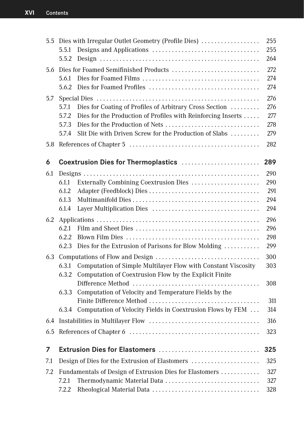| 5.5        | Dies with Irregular Outlet Geometry (Profile Dies)<br>5.5.1<br>5.5.2                                                                                                                                                                                     | 255<br>255<br>264                      |  |
|------------|----------------------------------------------------------------------------------------------------------------------------------------------------------------------------------------------------------------------------------------------------------|----------------------------------------|--|
| 5.6        | Dies for Foamed Semifinished Products<br>5.6.1<br>5.6.2                                                                                                                                                                                                  | 272<br>274<br>274                      |  |
| 5.7<br>5.8 | Dies for Coating of Profiles of Arbitrary Cross Section<br>5.7.1<br>5.7.2<br>Dies for the Production of Profiles with Reinforcing Inserts<br>Dies for the Production of Nets<br>5.7.3<br>Slit Die with Driven Screw for the Production of Slabs<br>5.7.4 | 276<br>276<br>277<br>278<br>279<br>282 |  |
|            |                                                                                                                                                                                                                                                          |                                        |  |
| 6          | Coextrusion Dies for Thermoplastics                                                                                                                                                                                                                      | 289                                    |  |
| 6.1        | Externally Combining Coextrusion Dies<br>6.1.1<br>6.1.2<br>6.1.3<br>6.1.4                                                                                                                                                                                | 290<br>290<br>291<br>294<br>294        |  |
| 6.2        | 6.2.1<br>6.2.2<br>6.2.3<br>Dies for the Extrusion of Parisons for Blow Molding                                                                                                                                                                           | 296<br>296<br>298<br>299               |  |
| 6.3        | 6.3.1<br>Computation of Simple Multilayer Flow with Constant Viscosity<br>Computation of Coextrusion Flow by the Explicit Finite<br>6.3.2                                                                                                                | 300<br>303                             |  |
|            | Computation of Velocity and Temperature Fields by the<br>6.3.3                                                                                                                                                                                           | 308                                    |  |
|            | Computation of Velocity Fields in Coextrusion Flows by FEM<br>6.3.4                                                                                                                                                                                      | 311<br>314                             |  |
| 6.4        |                                                                                                                                                                                                                                                          | 316                                    |  |
|            |                                                                                                                                                                                                                                                          |                                        |  |
| 7          | Extrusion Dies for Elastomers                                                                                                                                                                                                                            | 325                                    |  |
| 7.1        | Design of Dies for the Extrusion of Elastomers<br>325                                                                                                                                                                                                    |                                        |  |
| 7.2        | Fundamentals of Design of Extrusion Dies for Elastomers                                                                                                                                                                                                  | 327                                    |  |
|            | Thermodynamic Material Data<br>7.2.1<br>7.2.2                                                                                                                                                                                                            | 327<br>328                             |  |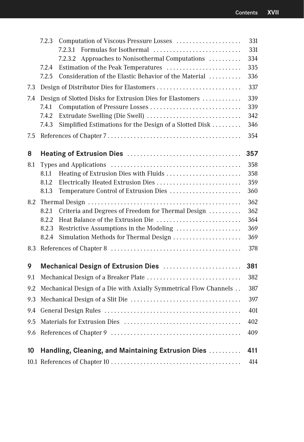|     | 7.2.3                                                             | Computation of Viscous Pressure Losses<br>Formulas for Isothermal<br>7.2.3.1               | 331<br>331 |
|-----|-------------------------------------------------------------------|--------------------------------------------------------------------------------------------|------------|
|     | 7.2.4                                                             | Approaches to Nonisothermal Computations<br>7.2.3.2<br>Estimation of the Peak Temperatures | 334<br>335 |
|     | 7.2.5                                                             | Consideration of the Elastic Behavior of the Material                                      | 336        |
| 7.3 |                                                                   |                                                                                            | 337        |
| 7.4 |                                                                   | Design of Slotted Disks for Extrusion Dies for Elastomers                                  | 339        |
|     | 7.4.1<br>7.4.2                                                    | Computation of Pressure Losses                                                             | 339        |
|     | 7.4.3                                                             | Extrudate Swelling (Die Swell)<br>Simplified Estimations for the Design of a Slotted Disk  | 342<br>346 |
| 7.5 |                                                                   |                                                                                            | 354        |
| 8   |                                                                   |                                                                                            | 357        |
| 8.1 |                                                                   |                                                                                            | 358        |
|     | 8.1.1                                                             | Heating of Extrusion Dies with Fluids                                                      | 358        |
|     | 8.1.2                                                             | Electrically Heated Extrusion Dies                                                         | 359        |
|     | 8.1.3                                                             | Temperature Control of Extrusion Dies                                                      | 360        |
| 8.2 | 8.2.1                                                             | Criteria and Degrees of Freedom for Thermal Design                                         | 362<br>362 |
|     | 8.2.2                                                             | Heat Balance of the Extrusion Die                                                          | 364        |
|     | 8.2.3                                                             | Restrictive Assumptions in the Modeling                                                    | 369        |
|     | 8.2.4                                                             | Simulation Methods for Thermal Design                                                      | 369        |
| 8.3 |                                                                   |                                                                                            | 378        |
| 9   |                                                                   | Mechanical Design of Extrusion Dies                                                        | 381        |
| 9.1 |                                                                   | Mechanical Design of a Breaker Plate                                                       | 382        |
| 9.2 | Mechanical Design of a Die with Axially Symmetrical Flow Channels |                                                                                            | 387        |
| 9.3 |                                                                   |                                                                                            | 397        |
| 9.4 |                                                                   |                                                                                            | 401        |
| 9.5 |                                                                   |                                                                                            | 402        |
| 9.6 |                                                                   |                                                                                            | 409        |
| 10  |                                                                   | Handling, Cleaning, and Maintaining Extrusion Dies                                         | 411        |
|     |                                                                   |                                                                                            | 414        |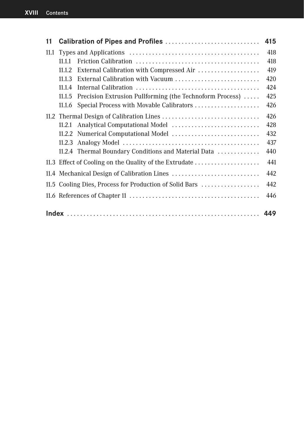| 11   | Calibration of Pipes and Profiles<br>415 |                                                          |     |  |
|------|------------------------------------------|----------------------------------------------------------|-----|--|
| 11.1 |                                          |                                                          |     |  |
|      | 11.1.1                                   |                                                          | 418 |  |
|      | 11.1.2                                   | External Calibration with Compressed Air                 | 419 |  |
|      | 11.1.3                                   | External Calibration with Vacuum                         | 420 |  |
|      | 11.1.4                                   |                                                          | 424 |  |
|      | 11.1.5                                   | Precision Extrusion Pullforming (the Technoform Process) | 425 |  |
|      | 11.1.6                                   | Special Process with Movable Calibrators                 | 426 |  |
|      |                                          |                                                          | 426 |  |
|      | 11.2.1                                   | Analytical Computational Model                           | 428 |  |
|      |                                          | 11.2.2 Numerical Computational Model                     | 432 |  |
|      |                                          |                                                          | 437 |  |
|      |                                          | 11.2.4 Thermal Boundary Conditions and Material Data     | 440 |  |
|      |                                          | 11.3 Effect of Cooling on the Quality of the Extrudate   | 441 |  |
|      |                                          | 11.4 Mechanical Design of Calibration Lines              | 442 |  |
|      |                                          | 11.5 Cooling Dies, Process for Production of Solid Bars  | 442 |  |
|      |                                          |                                                          | 446 |  |
|      |                                          |                                                          |     |  |
|      |                                          |                                                          |     |  |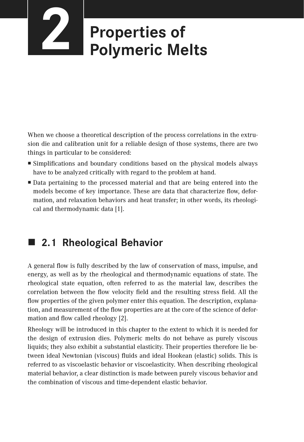## **2 Properties of Polymeric Melts**

When we choose a theoretical description of the process correlations in the extrusion die and calibration unit for a reliable design of those systems, there are two things in particular to be considered:

- Simplifications and boundary conditions based on the physical models always have to be analyzed critically with regard to the problem at hand.
- Data pertaining to the processed material and that are being entered into the models become of key importance. These are data that characterize flow, deformation, and relaxation behaviors and heat transfer; in other words, its rheological and thermodynamic data [1].
- 2.1 Rheological Behavior

A general flow is fully described by the law of conservation of mass, impulse, and energy, as well as by the rheological and thermodynamic equations of state. The rheological state equation, often referred to as the material law, describes the correlation between the flow velocity field and the resulting stress field. All the flow properties of the given polymer enter this equation. The description, explanation, and measurement of the flow properties are at the core of the science of deformation and flow called rheology [2].

Rheology will be introduced in this chapter to the extent to which it is needed for the design of extrusion dies. Polymeric melts do not behave as purely viscous liquids; they also exhibit a substantial elasticity. Their properties therefore lie between ideal Newtonian (viscous) fluids and ideal Hookean (elastic) solids. This is referred to as viscoelastic behavior or viscoelasticity. When describing rheological material behavior, a clear distinction is made between purely viscous behavior and the combination of viscous and time-dependent elastic behavior.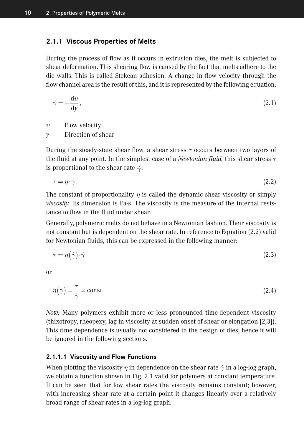#### **2.1.1 Viscous Properties of Melts**

During the process of flow as it occurs in extrusion dies, the melt is subjected to shear deformation. This shearing flow is caused by the fact that melts adhere to the die walls. This is called Stokean adhesion. A change in flow velocity through the flow channel area is the result of this, and it is represented by the following equation:

$$
\dot{\gamma} = -\frac{\mathrm{d}\upsilon}{\mathrm{d}y},\tag{2.1}
$$

*u* Flow velocity

*y* Direction of shear

During the steady-state shear flow, a shear stress  $\tau$  occurs between two layers of the fluid at any point. In the simplest case of a *Newtonian fluid*, this shear stress  $\tau$ is proportional to the shear rate  $\dot{\gamma}$ :

$$
\tau = \eta \cdot \dot{\gamma}.\tag{2.2}
$$

The constant of proportionality  $\eta$  is called the dynamic shear viscosity or simply *viscosity.* Its dimension is Pa·s. The viscosity is the measure of the internal resistance to flow in the fluid under shear.

Generally, polymeric melts do not behave in a Newtonian fashion. Their viscosity is not constant but is dependent on the shear rate. In reference to Equation (2.2) valid for Newtonian fluids, this can be expressed in the following manner:

$$
\tau = \eta(\dot{\gamma}) \cdot \dot{\gamma} \tag{2.3}
$$

or

$$
\eta(\dot{\gamma}) = \frac{\tau}{\dot{\gamma}} \neq \text{const.} \tag{2.4}
$$

*Note:* Many polymers exhibit more or less pronounced time-dependent viscosity (thixotropy, rheopexy, lag in viscosity at sudden onset of shear or elongation [2,3]). This time dependence is usually not considered in the design of dies; hence it will be ignored in the following sections.

#### **2.1.1.1 Viscosity and Flow Functions**

When plotting the viscosity  $\eta$  in dependence on the shear rate  $\dot{\gamma}$  in a log-log graph, we obtain a function shown in Fig. 2.1 valid for polymers at constant temperature. It can be seen that for low shear rates the viscosity remains constant; however, with increasing shear rate at a certain point it changes linearly over a relatively broad range of shear rates in a log-log graph.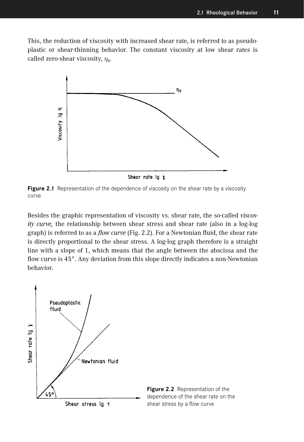This, the reduction of viscosity with increased shear rate, is referred to as pseudoplastic or shear-thinning behavior. The constant viscosity at low shear rates is called zero-shear viscosity,  $\eta_0$ .



Shear rate la *i* 

**Figure 2.1** Representation of the dependence of viscosity on the shear rate by a viscosity curve

Besides the graphic representation of viscosity vs. shear rate, the so-called *viscosity curve,* the relationship between shear stress and shear rate (also in a log-log graph) is referred to as a *flow curve* (Fig. 2.2). For a Newtonian fluid, the shear rate is directly proportional to the shear stress. A log-log graph therefore is a straight line with a slope of 1, which means that the angle between the abscissa and the flow curve is 45°. Any deviation from this slope directly indicates a non-Newtonian behavior.



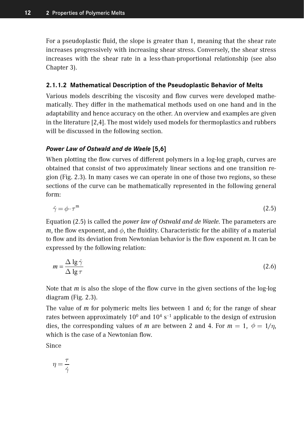For a pseudoplastic fluid, the slope is greater than 1, meaning that the shear rate increases progressively with increasing shear stress. Conversely, the shear stress increases with the shear rate in a less-than-proportional relationship (see also Chapter 3).

#### **2.1.1.2 Mathematical Description of the Pseudoplastic Behavior of Melts**

Various models describing the viscosity and flow curves were developed mathematically. They differ in the mathematical methods used on one hand and in the adaptability and hence accuracy on the other. An overview and examples are given in the literature [2,4]. The most widely used models for thermoplastics and rubbers will be discussed in the following section.

#### *Power Law of Ostwald and de Waele* **[5,6]**

When plotting the flow curves of different polymers in a log-log graph, curves are obtained that consist of two approximately linear sections and one transition region (Fig. 2.3). In many cases we can operate in one of those two regions, so these sections of the curve can be mathematically represented in the following general form:

$$
\dot{\gamma} = \phi \cdot \tau^{\mathfrak{m}} \tag{2.5}
$$

Equation (2.5) is called the *power law of Ostwald and de Waele*. The parameters are *m*, the flow exponent, and  $\phi$ , the fluidity. Characteristic for the ability of a material to flow and its deviation from Newtonian behavior is the flow exponent *m*. It can be expressed by the following relation:

$$
m = \frac{\Delta \lg \dot{\gamma}}{\Delta \lg \tau} \tag{2.6}
$$

Note that *m* is also the slope of the flow curve in the given sections of the log-log diagram (Fig. 2.3).

The value of *m* for polymeric melts lies between 1 and 6; for the range of shear rates between approximately  $10^0$  and  $10^4$  s<sup>-1</sup> applicable to the design of extrusion dies, the corresponding values of *m* are between 2 and 4. For  $m = 1$ ,  $\phi = 1/n$ , which is the case of a Newtonian flow.

Since

$$
\eta = \frac{\tau}{\dot{\gamma}}
$$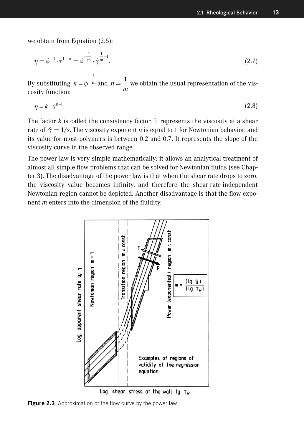we obtain from Equation (2.5):

$$
\eta = \phi^{-1} \cdot \tau^{1-m} = \phi^{-\frac{1}{m}} \cdot \dot{\gamma}^{\frac{1}{m}-1}.
$$
\n(2.7)

By substituting  $k = \phi$ <sup>-</sup> 1  $\frac{1}{m}$  and  $n = \frac{1}{m}$  we obtain the usual representation of the viscosity function:

$$
\eta = k \cdot \dot{\gamma}^{n-1}.\tag{2.8}
$$

The factor  $k$  is called the consistency factor. It represents the viscosity at a shear rate of  $\dot{\gamma} = 1/s$ . The viscosity exponent *n* is equal to 1 for Newtonian behavior, and its value for most polymers is between 0.2 and 0.7. It represents the slope of the viscosity curve in the observed range.

The power law is very simple mathematically: it allows an analytical treatment of almost all simple flow problems that can be solved for Newtonian fluids (see Chapter 3). The disadvantage of the power law is that when the shear rate drops to zero, the viscosity value becomes infinity, and therefore the shear-rate-independent Newtonian region cannot be depicted. Another disadvantage is that the flow exponent *m* enters into the dimension of the fluidity.



**Figure 2.3** Approximation of the flow curve by the power law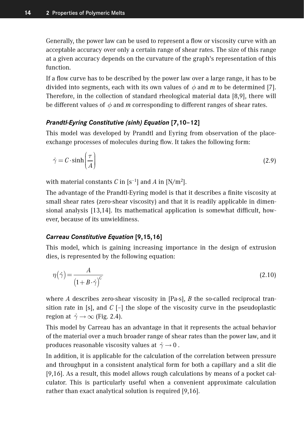Generally, the power law can be used to represent a flow or viscosity curve with an acceptable accuracy over only a certain range of shear rates. The size of this range at a given accuracy depends on the curvature of the graph's representation of this function.

If a flow curve has to be described by the power law over a large range, it has to be divided into segments, each with its own values of  $\phi$  and  $m$  to be determined [7]. Therefore, in the collection of standard rheological material data [8,9], there will be different values of  $\phi$  and *m* corresponding to different ranges of shear rates.

#### *Prandtl-Eyring Constitutive (sinh) Equation* **[7,10–12]**

This model was developed by Prandtl and Eyring from observation of the placeexchange processes of molecules during flow. It takes the following form:

$$
\dot{\gamma} = C \cdot \sinh\left(\frac{\tau}{A}\right) \tag{2.9}
$$

with material constants  $C$  in  $[s^{-1}]$  and  $A$  in  $[N/m^2]$ .

The advantage of the Prandtl-Eyring model is that it describes a finite viscosity at small shear rates (zero-shear viscosity) and that it is readily applicable in dimensional analysis [13,14]. Its mathematical application is somewhat difficult, however, because of its unwieldiness.

#### *Carreau Constitutive Equation* **[9,15,16]**

This model, which is gaining increasing importance in the design of extrusion dies, is represented by the following equation:

$$
\eta(\dot{\gamma}) = \frac{A}{\left(1 + B \cdot \dot{\gamma}\right)^c} \tag{2.10}
$$

where *A* describes zero-shear viscosity in [Pa·s], *B* the so-called reciprocal transition rate in [s], and *C* [–] the slope of the viscosity curve in the pseudoplastic region at  $\dot{\gamma} \rightarrow \infty$  (Fig. 2.4).

This model by Carreau has an advantage in that it represents the actual behavior of the material over a much broader range of shear rates than the power law, and it produces reasonable viscosity values at  $\dot{\gamma} \rightarrow 0$ .

In addition, it is applicable for the calculation of the correlation between pressure and throughput in a consistent analytical form for both a capillary and a slit die [9,16]. As a result, this model allows rough calculations by means of a pocket calculator. This is particularly useful when a convenient approximate calculation rather than exact analytical solution is required [9,16].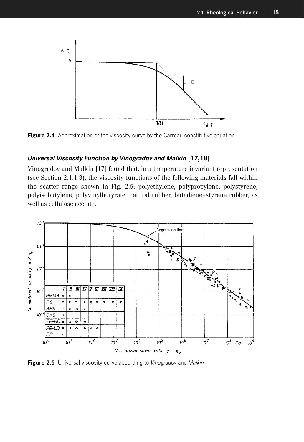

Figure 2.4 Approximation of the viscosity curve by the Carreau constitutive equation

#### *Universal Viscosity Function by Vinogradov and Malkin* **[17,18]**

Vinogradov and Malkin [17] found that, in a temperature-invariant representation (see Section 2.1.1.3), the viscosity functions of the following materials fall within the scatter range shown in Fig. 2.5: polyethylene, polypropylene, polystyrene, polyisobutylene, polyvinylbutyrate, natural rubber, butadiene–styrene rubber, as well as cellulose acetate.



**Figure 2.5** Universal viscosity curve according to *Vinogradov* and *Malkin*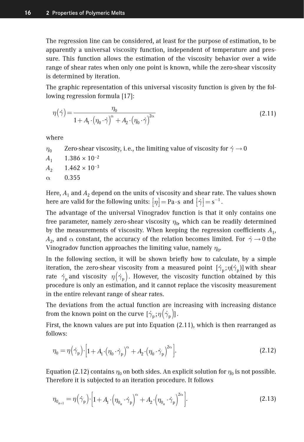The regression line can be considered, at least for the purpose of estimation, to be apparently a universal viscosity function, independent of temperature and pressure. This function allows the estimation of the viscosity behavior over a wide range of shear rates when only one point is known, while the zero-shear viscosity is determined by iteration.

The graphic representation of this universal viscosity function is given by the following regression formula [17]:

$$
\eta(\dot{\gamma}) = \frac{\eta_0}{1 + A_1 \cdot (\eta_0 \cdot \dot{\gamma})^{\alpha} + A_2 \cdot (\eta_0 \cdot \dot{\gamma})^{2\alpha}}
$$
\n(2.11)

where

 $\eta_0$  Zero-shear viscosity, i.e., the limiting value of viscosity for  $\dot{\gamma} \rightarrow 0$  $A_1$  1.386  $\times$  10<sup>-2</sup>  $A_2$  1.462 × 10<sup>-3</sup>  $\alpha$  0.355

Here,  $A_1$  and  $A_2$  depend on the units of viscosity and shear rate. The values shown here are valid for the following units:  $[\eta] = \text{Pa} \cdot \text{s}$  and  $[\dot{\gamma}] = \text{s}^{-1}$ .

The advantage of the universal Vinogradov function is that it only contains one free parameter, namely zero-shear viscosity  $\eta_0$ , which can be readily determined by the measurements of viscosity. When keeping the regression coefficients *A*1,  $A_2$ , and  $\alpha$  constant, the accuracy of the relation becomes limited. For  $\dot{\gamma} \rightarrow 0$  the Vinogradov function approaches the limiting value, namely  $\eta_0$ .

In the following section, it will be shown briefly how to calculate, by a simple iteration, the zero-shear viscosity from a measured point  $[\dot{\gamma}_n, \eta(\dot{\gamma}_n)]$  with shear rate  $\dot{\gamma}_p$  and viscosity  $\eta(\dot{\gamma}_p)$ . However, the viscosity function obtained by this procedure is only an estimation, and it cannot replace the viscosity measurement in the entire relevant range of shear rates.

The deviations from the actual function are increasing with increasing distance from the known point on the curve  $[\dot{\gamma}_{\rm p};\eta(\dot{\gamma}_{\rm p})]$ .

First, the known values are put into Equation (2.11), which is then rearranged as follows:

$$
\eta_0 = \eta(\dot{\gamma}_p) \cdot \left[ 1 + A_1 \cdot (\eta_0 \cdot \dot{\gamma}_p)^{\alpha} + A_2 \cdot (\eta_0 \cdot \dot{\gamma}_p)^{2\alpha} \right].
$$
\n(2.12)

Equation (2.12) contains  $\eta_0$  on both sides. An explicit solution for  $\eta_0$  is not possible. Therefore it is subjected to an iteration procedure. It follows

$$
\eta_{0_{n+1}} = \eta(\dot{\gamma}_p) \cdot \left[ 1 + A_1 \cdot \left( \eta_{0_n} \cdot \dot{\gamma}_p \right)^{\alpha} + A_2 \cdot \left( \eta_{0_n} \cdot \dot{\gamma}_p \right)^{2\alpha} \right].
$$
\n(2.13)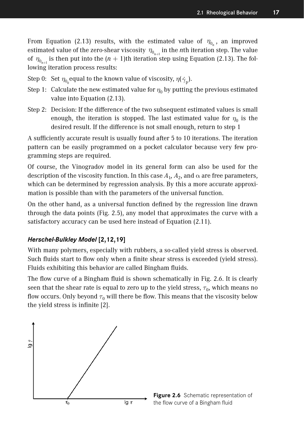From Equation (2.13) results, with the estimated value of  $\eta_0$ , an improved estimated value of the zero-shear viscosity  $\eta_{0_{n+1}}$  in the *n*th iteration step. The value of  $\eta_{0_{n+1}}$  is then put into the  $(n + 1)$ th iteration step using Equation (2.13). The following iteration process results:

- Step 0:  $\,$  Set  $\, \eta_{0_0}$ equal to the known value of viscosity,  $\eta(\dot{\gamma}_{\mathrm{p}}) .$
- Step 1: Calculate the new estimated value for  $\eta_0$  by putting the previous estimated value into Equation (2.13).
- Step 2: Decision: If the difference of the two subsequent estimated values is small enough, the iteration is stopped. The last estimated value for  $\eta_0$  is the desired result. If the difference is not small enough, return to step 1

A sufficiently accurate result is usually found after 5 to 10 iterations. The iteration pattern can be easily programmed on a pocket calculator because very few programming steps are required.

Of course, the Vinogradov model in its general form can also be used for the description of the viscosity function. In this case  $A_1$ ,  $A_2$ , and  $\alpha$  are free parameters, which can be determined by regression analysis. By this a more accurate approximation is possible than with the parameters of the universal function.

On the other hand, as a universal function defined by the regression line drawn through the data points (Fig. 2.5), any model that approximates the curve with a satisfactory accuracy can be used here instead of Equation (2.11).

#### *Herschel-Bulkley Model* **[2,12,19]**

With many polymers, especially with rubbers, a so-called yield stress is observed. Such fluids start to flow only when a finite shear stress is exceeded (yield stress). Fluids exhibiting this behavior are called Bingham fluids.

The flow curve of a Bingham fluid is shown schematically in Fig. 2.6. It is clearly seen that the shear rate is equal to zero up to the yield stress,  $\tau_0$ , which means no flow occurs. Only beyond  $\tau_0$  will there be flow. This means that the viscosity below the yield stress is infinite [2].



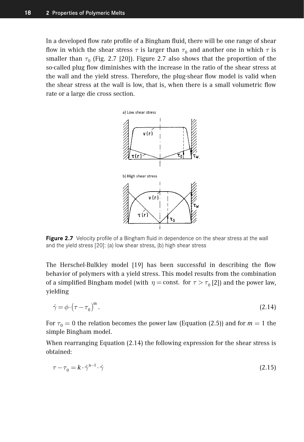In a developed flow rate profile of a Bingham fluid, there will be one range of shear flow in which the shear stress  $\tau$  is larger than  $\tau_0$  and another one in which  $\tau$  is smaller than  $\tau_0$  (Fig. 2.7 [20]). Figure 2.7 also shows that the proportion of the so-called plug flow diminishes with the increase in the ratio of the shear stress at the wall and the yield stress. Therefore, the plug-shear flow model is valid when the shear stress at the wall is low, that is, when there is a small volumetric flow rate or a large die cross section.



**Figure 2.7** Velocity profile of a Bingham fluid in dependence on the shear stress at the wall and the yield stress [20]: (a) low shear stress, (b) high shear stress

The Herschel-Bulkley model [19] has been successful in describing the flow behavior of polymers with a yield stress. This model results from the combination of a simplified Bingham model (with  $\eta$  = const. for  $\tau > \tau_0$  [2]) and the power law, yielding

$$
\dot{\gamma} = \phi \cdot (\tau - \tau_0)^{\mathfrak{m}}. \tag{2.14}
$$

For  $\tau_0 = 0$  the relation becomes the power law (Equation (2.5)) and for  $m = 1$  the simple Bingham model.

When rearranging Equation (2.14) the following expression for the shear stress is obtained:

$$
\tau - \tau_0 = k \cdot \dot{\gamma}^{n-1} \cdot \dot{\gamma} \tag{2.15}
$$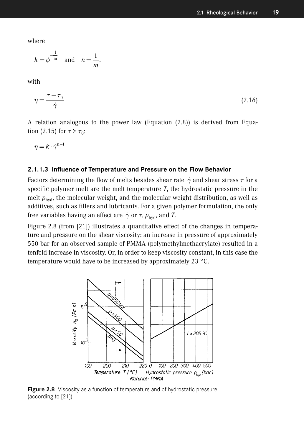where

$$
k = \phi^{-\frac{1}{m}} \quad \text{and} \quad n = \frac{1}{m}.
$$

with

$$
\eta = \frac{\tau - \tau_0}{\dot{\gamma}}\tag{2.16}
$$

A relation analogous to the power law (Equation (2.8)) is derived from Equation (2.15) for  $\tau > \tau_0$ :

$$
\eta=k\cdot{\dot{\gamma}}^{\mathrm{n}-1}
$$

#### **2.1.1.3 Influence of Temperature and Pressure on the Flow Behavior**

Factors determining the flow of melts besides shear rate  $\dot{\gamma}$  and shear stress  $\tau$  for a specific polymer melt are the melt temperature *T*, the hydrostatic pressure in the melt  $p_{\text{hvd}}$ , the molecular weight, and the molecular weight distribution, as well as additives, such as fillers and lubricants. For a given polymer formulation, the only free variables having an effect are  $\dot{\gamma}$  or  $\tau$ ,  $p_{\text{hvd}}$ , and *T*.

Figure 2.8 (from [21]) illustrates a quantitative effect of the changes in temperature and pressure on the shear viscosity: an increase in pressure of approximately 550 bar for an observed sample of PMMA (polymethylmethacrylate) resulted in a tenfold increase in viscosity. Or, in order to keep viscosity constant, in this case the temperature would have to be increased by approximately 23 °C.



**Figure 2.8** Viscosity as a function of temperature and of hydrostatic pressure (according to [21])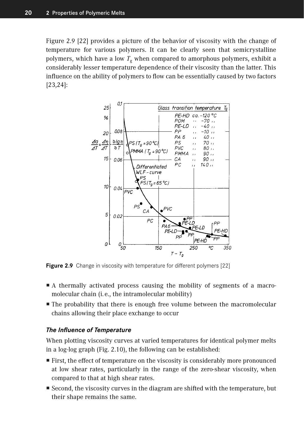Figure 2.9 [22] provides a picture of the behavior of viscosity with the change of temperature for various polymers. It can be clearly seen that semicrystalline polymers, which have a low  $T<sub>g</sub>$  when compared to amorphous polymers, exhibit a considerably lesser temperature dependence of their viscosity than the latter. This influence on the ability of polymers to flow can be essentially caused by two factors [23,24]:



**Figure 2.9** Change in viscosity with temperature for different polymers [22]

- A thermally activated process causing the mobility of segments of a macromolecular chain (i. e., the intramolecular mobility)
- The probability that there is enough free volume between the macromolecular chains allowing their place exchange to occur

#### *The Influence of Temperature*

When plotting viscosity curves at varied temperatures for identical polymer melts in a log-log graph (Fig. 2.10), the following can be established:

- First, the effect of temperature on the viscosity is considerably more pronounced at low shear rates, particularly in the range of the zero-shear viscosity, when compared to that at high shear rates.
- Second, the viscosity curves in the diagram are shifted with the temperature, but their shape remains the same.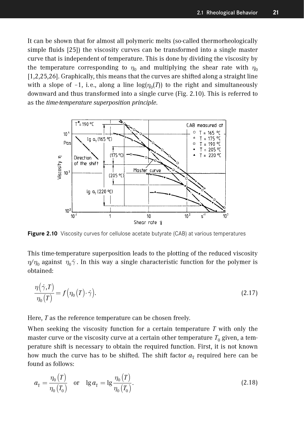It can be shown that for almost all polymeric melts (so-called thermorheologically simple fluids [25]) the viscosity curves can be transformed into a single master curve that is independent of temperature. This is done by dividing the viscosity by the temperature corresponding to  $\eta_0$  and multiplying the shear rate with  $\eta_0$ [1,2,25,26]. Graphically, this means that the curves are shifted along a straight line with a slope of  $-1$ , i.e., along a line  $log(\eta_0(T))$  to the right and simultaneously downward and thus transformed into a single curve (Fig. 2.10). This is referred to as the *time-temperature superposition principle*.



**Figure 2.10** Viscosity curves for cellulose acetate butyrate (CAB) at various temperatures

This time-temperature superposition leads to the plotting of the reduced viscosity  $\eta/\eta_0$  against  $\eta_0 \dot{\gamma}$ . In this way a single characteristic function for the polymer is obtained:

$$
\frac{\eta(\dot{\gamma},T)}{\eta_0(T)} = f(\eta_0(T)\cdot\dot{\gamma}).\tag{2.17}
$$

Here, *T* as the reference temperature can be chosen freely.

When seeking the viscosity function for a certain temperature *T* with only the master curve or the viscosity curve at a certain other temperature  $T_0$  given, a temperature shift is necessary to obtain the required function. First, it is not known how much the curve has to be shifted. The shift factor  $a_T$  required here can be found as follows:

$$
a_{\rm T} = \frac{\eta_0(T)}{\eta_0(T_0)} \quad \text{or} \quad \lg a_{\rm T} = \lg \frac{\eta_0(T)}{\eta_0(T_0)}.
$$
 (2.18)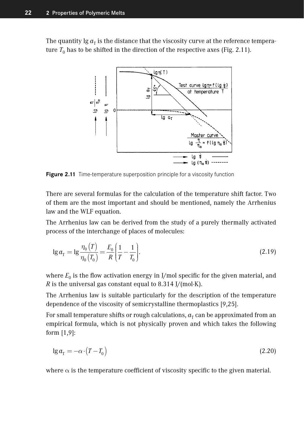The quantity  $\lg a_{\rm T}$  is the distance that the viscosity curve at the reference temperature  $T_0$  has to be shifted in the direction of the respective axes (Fig. 2.11).



**Figure 2.11** Time-temperature superposition principle for a viscosity function

There are several formulas for the calculation of the temperature shift factor. Two of them are the most important and should be mentioned, namely the Arrhenius law and the WLF equation.

The Arrhenius law can be derived from the study of a purely thermally activated process of the interchange of places of molecules:

$$
\lg a_{\rm T} = \lg \frac{\eta_0(T)}{\eta_0(T_0)} = \frac{E_0}{R} \left( \frac{1}{T} - \frac{1}{T_0} \right). \tag{2.19}
$$

where  $E_0$  is the flow activation energy in J/mol specific for the given material, and *R* is the universal gas constant equal to 8.314 J/(mol·K).

The Arrhenius law is suitable particularly for the description of the temperature dependence of the viscosity of semicrystalline thermoplastics [9,25].

For small temperature shifts or rough calculations,  $a_T$  can be approximated from an empirical formula, which is not physically proven and which takes the following form [1,9]:

$$
\lg a_{\rm T} = -\alpha \cdot (T - T_0) \tag{2.20}
$$

where  $\alpha$  is the temperature coefficient of viscosity specific to the given material.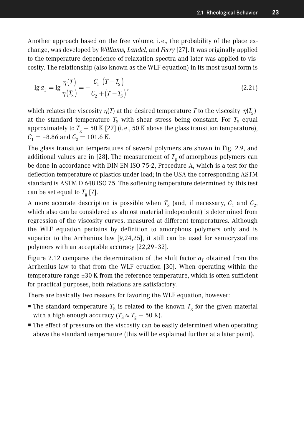Another approach based on the free volume, i. e., the probability of the place exchange, was developed by *Williams, Landel,* and *Ferry* [27]. It was originally applied to the temperature dependence of relaxation spectra and later was applied to viscosity. The relationship (also known as the WLF equation) in its most usual form is

$$
\lg a_{\rm T} = \lg \frac{\eta(T)}{\eta(T_{\rm s})} = -\frac{C_{\rm t} \cdot (T - T_{\rm s})}{C_{\rm 2} + (T - T_{\rm s})},\tag{2.21}
$$

which relates the viscosity  $\eta(T)$  at the desired temperature T to the viscosity  $\eta(T_s)$ at the standard temperature  $T_s$  with shear stress being constant. For  $T_s$  equal approximately to  $T_g + 50$  K [27] (i.e., 50 K above the glass transition temperature),  $C_1 = -8.86$  and  $C_2 = 101.6$  K.

The glass transition temperatures of several polymers are shown in Fig. 2.9, and additional values are in [28]. The measurement of  $T<sub>g</sub>$  of amorphous polymers can be done in accordance with DIN EN ISO 75-2, Procedure A, which is a test for the deflection temperature of plastics under load; in the USA the corresponding ASTM standard is ASTM D 648 ISO 75. The softening temperature determined by this test can be set equal to  $T_g$  [7].

A more accurate description is possible when  $T_S$  (and, if necessary,  $C_1$  and  $C_2$ , which also can be considered as almost material independent) is determined from regression of the viscosity curves, measured at different temperatures. Although the WLF equation pertains by definition to amorphous polymers only and is superior to the Arrhenius law [9,24,25], it still can be used for semicrystalline polymers with an acceptable accuracy [22,29–32].

Figure 2.12 compares the determination of the shift factor  $a<sub>T</sub>$  obtained from the Arrhenius law to that from the WLF equation [30]. When operating within the temperature range ±30 K from the reference temperature, which is often sufficient for practical purposes, both relations are satisfactory.

There are basically two reasons for favoring the WLF equation, however:

- The standard temperature  $T_S$  is related to the known  $T_g$  for the given material with a high enough accuracy ( $T_s \approx T_g + 50$  K).
- The effect of pressure on the viscosity can be easily determined when operating above the standard temperature (this will be explained further at a later point).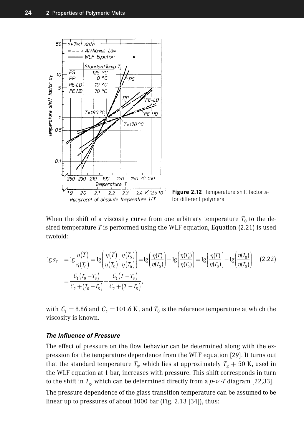

**Figure 2.12** Temperature shift factor  $a<sub>T</sub>$ for different polymers

When the shift of a viscosity curve from one arbitrary temperature  $T_0$  to the desired temperature *T* is performed using the WLF equation, Equation (2.21) is used twofold:

$$
\lg a_{\tau} = \lg \frac{\eta(T)}{\eta(T_0)} = \lg \left( \frac{\eta(T)}{\eta(T_0)} \cdot \frac{\eta(T_0)}{\eta(T_0)} \right) = \lg \left( \frac{\eta(T)}{\eta(T_0)} \right) + \lg \left( \frac{\eta(T_0)}{\eta(T_0)} \right) = \lg \left( \frac{\eta(T)}{\eta(T_0)} \right) - \lg \left( \frac{\eta(T_0)}{\eta(T_0)} \right) \tag{2.22}
$$
\n
$$
= \frac{C_1 \left( T_0 - T_0 \right)}{C_2 + \left( T_0 - T_0 \right)} - \frac{C_1 \left( T - T_0 \right)}{C_2 + \left( T - T_0 \right)},
$$

with  $C_1 = 8.86$  and  $C_2 = 101.6$  K, and  $T_0$  is the reference temperature at which the viscosity is known.

#### *The Influence of Pressure*

The effect of pressure on the flow behavior can be determined along with the expression for the temperature dependence from the WLF equation [29]. It turns out that the standard temperature  $T_s$ , which lies at approximately  $T_g + 50$  K, used in the WLF equation at 1 bar, increases with pressure. This shift corresponds in turn to the shift in  $T_g$ , which can be determined directly from a  $p$ - $\nu$ -*T* diagram [22,33].

The pressure dependence of the glass transition temperature can be assumed to be linear up to pressures of about 1000 bar (Fig. 2.13 [34]), thus: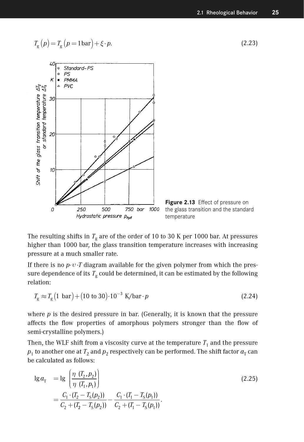$$
T_{\rm g}(p) = T_{\rm g}(p = 1 \,\text{bar}) + \xi \cdot p. \tag{2.23}
$$



**Figure 2.13** Effect of pressure on the glass transition and the standard temperature

The resulting shifts in  $T_g$  are of the order of 10 to 30 K per 1000 bar. At pressures higher than 1000 bar, the glass transition temperature increases with increasing pressure at a much smaller rate.

If there is no  $p \cdot v$ -T diagram available for the given polymer from which the pressure dependence of its  $T_g$  could be determined, it can be estimated by the following relation:

$$
T_{\rm g} \approx T_{\rm g} \left(1 \text{ bar}\right) + \left(10 \text{ to } 30\right) \cdot 10^{-3} \text{ K/bar} \cdot p \tag{2.24}
$$

where  $p$  is the desired pressure in bar. (Generally, it is known that the pressure affects the flow properties of amorphous polymers stronger than the flow of semi-crystalline polymers.)

Then, the WLF shift from a viscosity curve at the temperature  $T_1$  and the pressure  $p_1$  to another one at  $T_2$  and  $p_2$  respectively can be performed. The shift factor  $a_T$  can be calculated as follows:

$$
\lg a_{\mathrm{T}} = \lg \left( \frac{\eta \left( T_{2}, p_{2} \right)}{\eta \left( T_{1}, p_{1} \right)} \right)
$$
\n
$$
= \frac{C_{1} \cdot (T_{2} - T_{\mathrm{S}}(p_{2}))}{C_{2} + (T_{2} - T_{\mathrm{S}}(p_{2}))} - \frac{C_{1} \cdot (T_{1} - T_{\mathrm{S}}(p_{1}))}{C_{2} + (T_{1} - T_{\mathrm{S}}(p_{1}))}.
$$
\n(2.25)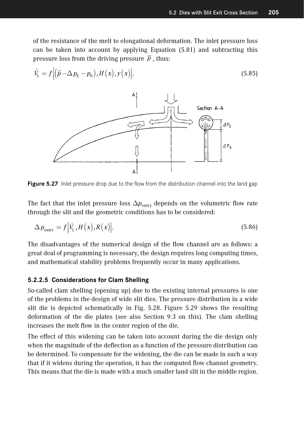of the resistance of the melt to elongational deformation. The inlet pressure loss can be taken into account by applying Equation (5.81) and subtracting this pressure loss from the driving pressure  $\bar{p}$ , thus:



**Figure 5.27** Inlet pressure drop due to the flow from the distribution channel into the land gap

The fact that the inlet pressure loss  $\Delta p_{\text{entry}}$  depends on the volumetric flow rate through the slit and the geometric conditions has to be considered:

$$
\Delta p_{\text{entry}} = f[\dot{V}_{\text{L}}, H(x), R(x)]. \tag{5.86}
$$

The disadvantages of the numerical design of the flow channel are as follows: a great deal of programming is necessary, the design requires long computing times, and mathematical stability problems frequently occur in many applications.

#### **5.2.2.5 Considerations for Clam Shelling**

So-called clam shelling (opening up) due to the existing internal pressures is one of the problems in the design of wide slit dies. The pressure distribution in a wide slit die is depicted schematically in Fig. 5.28. Figure 5.29 shows the resulting deformation of the die plates (see also Section 9.3 on this). The clam shelling increases the melt flow in the center region of the die.

The effect of this widening can be taken into account during the die design only when the magnitude of the deflection as a function of the pressure distribution can be determined. To compensate for the widening, the die can be made in such a way that if it widens during the operation, it has the computed flow channel geometry. This means that the die is made with a much smaller land slit in the middle region.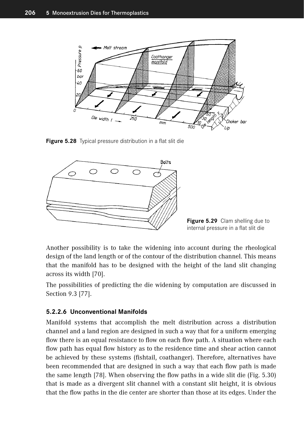

**Figure 5.28** Typical pressure distribution in a flat slit die



**Figure 5.29** Clam shelling due to internal pressure in a flat slit die

Another possibility is to take the widening into account during the rheological design of the land length or of the contour of the distribution channel. This means that the manifold has to be designed with the height of the land slit changing across its width [70].

The possibilities of predicting the die widening by computation are discussed in Section 9.3 [77].

#### **5.2.2.6 Unconventional Manifolds**

Manifold systems that accomplish the melt distribution across a distribution channel and a land region are designed in such a way that for a uniform emerging flow there is an equal resistance to flow on each flow path. A situation where each flow path has equal flow history as to the residence time and shear action cannot be achieved by these systems (fishtail, coathanger). Therefore, alternatives have been recommended that are designed in such a way that each flow path is made the same length [78]. When observing the flow paths in a wide slit die (Fig. 5.30) that is made as a divergent slit channel with a constant slit height, it is obvious that the flow paths in the die center are shorter than those at its edges. Under the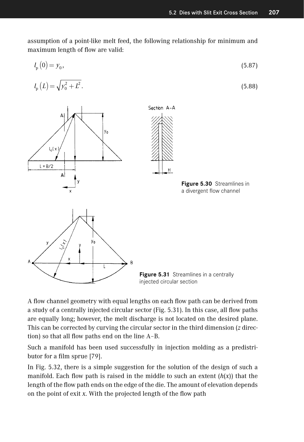assumption of a point-like melt feed, the following relationship for minimum and maximum length of flow are valid:

$$
l_{\rm p}(0) = y_0,
$$
\n
$$
l_{\rm p}(L) = \sqrt{y_0^2 + L^2}.
$$
\n(5.87)





**Figure 5.30** Streamlines in a divergent flow channel



**Figure 5.31** Streamlines in a centrally injected circular section

A flow channel geometry with equal lengths on each flow path can be derived from a study of a centrally injected circular sector (Fig. 5.31). In this case, all flow paths are equally long; however, the melt discharge is not located on the desired plane. This can be corrected by curving the circular sector in the third dimension (*z* direction) so that all flow paths end on the line A–B.

Such a manifold has been used successfully in injection molding as a predistributor for a film sprue [79].

In Fig. 5.32, there is a simple suggestion for the solution of the design of such a manifold. Each flow path is raised in the middle to such an extent  $(h(x))$  that the length of the flow path ends on the edge of the die. The amount of elevation depends on the point of exit *x*. With the projected length of the flow path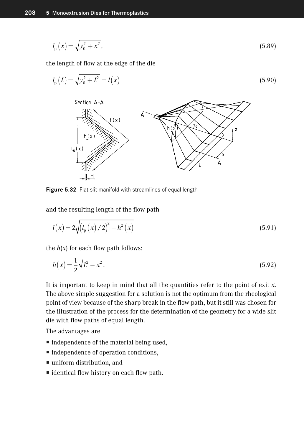$$
l_{\rm p}(x) = \sqrt{y_0^2 + x^2},\tag{5.89}
$$

the length of flow at the edge of the die

$$
l_{\rm p}(L) = \sqrt{y_0^2 + L^2} = l(x)
$$
\n(5.90)



**Figure 5.32** Flat slit manifold with streamlines of equal length

and the resulting length of the flow path

$$
l(x) = 2\sqrt{(l_p(x)/2)^2 + h^2(x)}
$$
\n(5.91)

the  $h(x)$  for each flow path follows:

$$
h(x) = \frac{1}{2}\sqrt{L^2 - x^2}.
$$
\n(5.92)

It is important to keep in mind that all the quantities refer to the point of exit *x*. The above simple suggestion for a solution is not the optimum from the rheological point of view because of the sharp break in the flow path, but it still was chosen for the illustration of the process for the determination of the geometry for a wide slit die with flow paths of equal length.

The advantages are

- $\blacksquare$  independence of the material being used,
- independence of operation conditions,
- uniform distribution, and
- identical flow history on each flow path.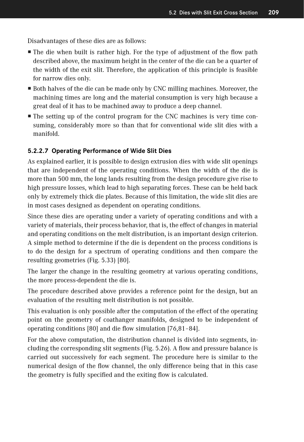Disadvantages of these dies are as follows:

- The die when built is rather high. For the type of adjustment of the flow path described above, the maximum height in the center of the die can be a quarter of the width of the exit slit. Therefore, the application of this principle is feasible for narrow dies only.
- Both halves of the die can be made only by CNC milling machines. Moreover, the machining times are long and the material consumption is very high because a great deal of it has to be machined away to produce a deep channel.
- The setting up of the control program for the CNC machines is very time consuming, considerably more so than that for conventional wide slit dies with a manifold.

#### **5.2.2.7 Operating Performance of Wide Slit Dies**

As explained earlier, it is possible to design extrusion dies with wide slit openings that are independent of the operating conditions. When the width of the die is more than 500 mm, the long lands resulting from the design procedure give rise to high pressure losses, which lead to high separating forces. These can be held back only by extremely thick die plates. Because of this limitation, the wide slit dies are in most cases designed as dependent on operating conditions.

Since these dies are operating under a variety of operating conditions and with a variety of materials, their process behavior, that is, the effect of changes in material and operating conditions on the melt distribution, is an important design criterion. A simple method to determine if the die is dependent on the process conditions is to do the design for a spectrum of operating conditions and then compare the resulting geometries (Fig. 5.33) [80].

The larger the change in the resulting geometry at various operating conditions, the more process-dependent the die is.

The procedure described above provides a reference point for the design, but an evaluation of the resulting melt distribution is not possible.

This evaluation is only possible after the computation of the effect of the operating point on the geometry of coathanger manifolds, designed to be independent of operating conditions [80] and die flow simulation [76,81–84].

For the above computation, the distribution channel is divided into segments, including the corresponding slit segments (Fig. 5.26). A flow and pressure balance is carried out successively for each segment. The procedure here is similar to the numerical design of the flow channel, the only difference being that in this case the geometry is fully specified and the exiting flow is calculated.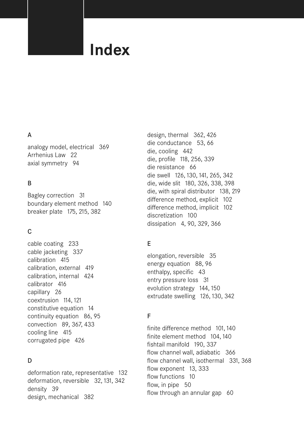### **Index**

#### A

analogy model, electrical 369 Arrhenius Law 22 axial symmetry 94

#### B

Bagley correction 31 boundary element method 140 breaker plate 175, 215, 382

#### C

cable coating 233 cable jacketing 337 calibration 415 calibration, external 419 calibration, internal 424 calibrator 416 capillary 26 coextrusion 114, 121 constitutive equation 14 continuity equation 86, 95 convection 89, 367, 433 cooling line 415 corrugated pipe 426

#### D

deformation rate, representative 132 deformation, reversible 32, 131, 342 density 39 design, mechanical 382

design, thermal 362, 426 die conductance 53, 66 die, cooling 442 die, profile 118, 256, 339 die resistance 66 die swell 126, 130, 141, 265, 342 die, wide slit 180, 326, 338, 398 die, with spiral distributor 138, 219 difference method, explicit 102 difference method, implicit 102 discretization 100 dissipation 4, 90, 329, 366

#### E

elongation, reversible 35 energy equation 88, 96 enthalpy, specific 43 entry pressure loss 31 evolution strategy 144, 150 extrudate swelling 126, 130, 342

#### F

finite difference method 101, 140 finite element method 104, 140 fishtail manifold 190, 337 flow channel wall, adiabatic 366 flow channel wall, isothermal 331, 368 flow exponent 13, 333 flow functions 10 flow, in pipe 50 flow through an annular gap 60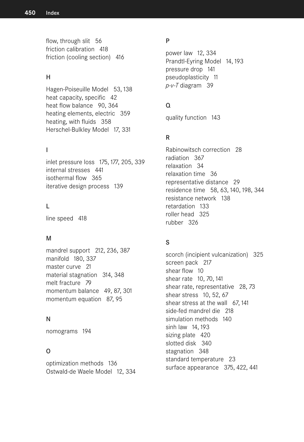#### **450** Index

flow, through slit 56 friction calibration 418 friction (cooling section) 416

#### H

Hagen-Poiseuille Model 53, 138 heat capacity, specific 42 heat flow balance 90, 364 heating elements, electric 359 heating, with fluids 358 Herschel-Bulkley Model 17, 331

#### I

inlet pressure loss 175, 177, 205, 339 internal stresses 441 isothermal flow 365 iterative design process 139

#### L

line speed 418

#### M

mandrel support 212, 236, 387 manifold 180, 337 master curve 21 material stagnation 314, 348 melt fracture 79 momentum balance 49, 87, 301 momentum equation 87, 95

#### N

nomograms 194

#### O

optimization methods 136 Ostwald-de Waele Model 12, 334

#### P

power law 12, 334 Prandtl-Eyring Model 14, 193 pressure drop 141 pseudoplasticity 11 *p-v-T* diagram 39

#### $\Omega$

quality function 143

#### R

Rabinowitsch correction 28 radiation 367 relaxation 34 relaxation time 36 representative distance 29 residence time 58, 63, 140, 198, 344 resistance network 138 retardation 133 roller head 325 rubber 326

#### S

scorch (incipient vulcanization) 325 screen pack 217 shear flow 10 shear rate 10, 70, 141 shear rate, representative 28, 73 shear stress 10, 52, 67 shear stress at the wall 67, 141 side-fed mandrel die 218 simulation methods 140 sinh law 14, 193 sizing plate 420 slotted disk 340 stagnation 348 standard temperature 23 surface appearance 375, 422, 441